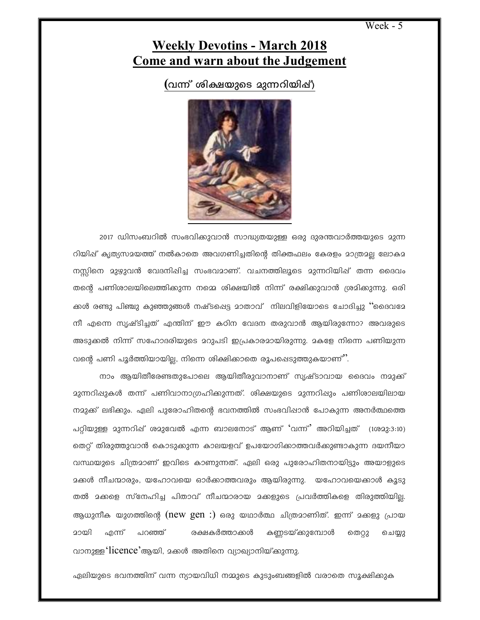Week - 5

## **Weekly Devotins - March 2018 Come and warn about the Judgement**

(വന്ന് ശിക്ഷയുടെ മുന്നറിയിപ്പ്)



2017 ഡിസംബറിൽ സംഭവിക്കുവാൻ സാദ്ധ്യതയുള്ള ഒരു ദുരന്തവാർത്തയുടെ മുന്ന റിയിഷ് കൃത്യസായത്ത് നൽകാതെ അവഗണിച്ചതിന്റെ തിക്തഫലം കേരളം മാത്രാല്ല ലോകാ നസ്സിനെ മുഴുവൻ വേദനിഷിച്ച സംഭവമാണ്. വചനത്തിലൂടെ മുന്നറിയിഷ് തന്ന ദൈവം തന്റെ പണിശാലയിലെത്തിക്കുന്ന നമ്മെ ശിക്ഷയിൽ നിന്ന് രക്ഷിക്കുവാൻ ശ്രമിക്കുന്നു. ഒരി ക്കൾ രണ്ടു പിഞ്ചു കുഞ്ഞുങ്ങൾ നഷ്ടപ്പെട്ട മാതാവ് നിലവിളിയോടെ ചോദിച്ചു ''ദൈവമേ നീ എന്നെ സൃഷ്ടിച്ചത് എന്തിന് ഈ കഠിന വേദന തരുവാൻ ആയിരുന്നോ? അവരുടെ അടുക്കൽ നിന്ന് സഹോദരിയുടെ മറുപടി ഇപ്രകാരമായിരുന്നു. മകളേ നിന്നെ പണിയുന്ന വന്റെ പണി പൂർത്തിയായില്ല, നിന്നെ ശിക്ഷിക്കാതെ രൂപപ്പെടുത്തുകയാണ്''.

നാം ആയിതീരേണ്ടതുപോലെ ആയിതീരുവാനാണ് സൃഷ്ടാവായ ദൈവം നമുക്ക് നമുക്ക് ലഭിക്കും. ഏലി പുരോഹിതന്റെ ഭവനത്തിൽ സംഭവിഷാൻ പോകുന്ന അനർത്ഥത്തെ പറ്റിയുള്ള മുന്നറിഷ് ശമുവേൽ എന്ന ബാലനോട് ആണ് 'വന്ന്' അറിയിച്ചത് (1ശമു:3:10) തെറ്റ് തിരുത്തുവാൻ കൊടുക്കുന്ന കാലയളവ് ഉപയോഗിക്കാത്തവർക്കുണ്ടാകുന്ന ദയനീയാ വസ്ഥയുടെ ചിത്രമാണ് ഇവിടെ കാണുന്നത്. ഏലി ഒരു പുരോഹിതനായിട്ടും അയാളുടെ മക്കൾ നീചന്മാരും, യഹോവയെ ഓർക്കാത്തവരും ആയിരുന്നു. യഹോവയെക്കാൾ കൂടു തൽ മക്കളെ സ്നേഹിച്ച പിതാവ് നീചന്മാരായ മക്കളുടെ പ്രവർത്തികളെ തിരുത്തിയില്ല. ആധുനീക യുഗത്തിന്റെ (new gen :) ഒരു യഥാർത്ഥ ചിത്രമാണിത്. ഇന്ന് മക്കളു പ്രായ മായി എന്ന് രക്ഷകർത്താക്കൾ കണ്ണടയ്ക്കുമ്പോൾ പറഞ്ഞ് തെറ്റു ചെയ്യു വാനുള്ള 'licence'ആയി, മക്കൾ അതിനെ വ്യാഖ്യാനിയ്ക്കുന്നു.

ഏലിയുടെ ഭവനത്തിന് വന്ന ന്യായവിധി നമ്മുടെ കുടുംബങ്ങളിൽ വരാതെ സൂക്ഷിക്കുക